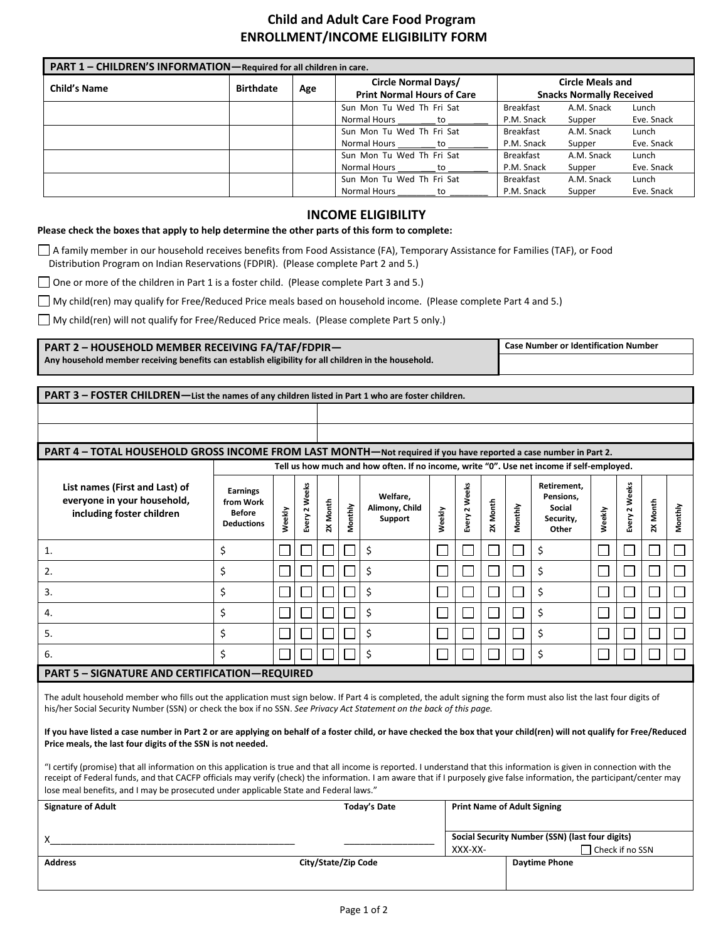## **Child and Adult Care Food Program ENROLLMENT/INCOME ELIGIBILITY FORM**

| PART 1 - CHILDREN'S INFORMATION-Required for all children in care. |                  |     |                                                          |                                                            |            |            |  |  |
|--------------------------------------------------------------------|------------------|-----|----------------------------------------------------------|------------------------------------------------------------|------------|------------|--|--|
| <b>Child's Name</b>                                                | <b>Birthdate</b> | Age | Circle Normal Days/<br><b>Print Normal Hours of Care</b> | <b>Circle Meals and</b><br><b>Snacks Normally Received</b> |            |            |  |  |
|                                                                    |                  |     | Sun Mon Tu Wed Th Fri Sat                                | Breakfast                                                  | A.M. Snack | Lunch      |  |  |
|                                                                    |                  |     | Normal Hours _________ to _____                          | P.M. Snack                                                 | Supper     | Eve. Snack |  |  |
|                                                                    |                  |     | Sun Mon Tu Wed Th Fri Sat                                | Breakfast                                                  | A.M. Snack | Lunch      |  |  |
|                                                                    |                  |     | Normal Hours<br>to                                       | P.M. Snack                                                 | Supper     | Eve. Snack |  |  |
|                                                                    |                  |     | Sun Mon Tu Wed Th Fri Sat                                | <b>Breakfast</b>                                           | A.M. Snack | Lunch      |  |  |
|                                                                    |                  |     | Normal Hours<br>to to                                    | P.M. Snack                                                 | Supper     | Eve. Snack |  |  |
|                                                                    |                  |     | Sun Mon Tu Wed Th Fri Sat                                | Breakfast                                                  | A.M. Snack | Lunch      |  |  |
|                                                                    |                  |     | Normal Hours to                                          | P.M. Snack                                                 | Supper     | Eve. Snack |  |  |

## **INCOME ELIGIBILITY**

## **Please check the boxes that apply to help determine the other parts of this form to complete:**

A family member in our household receives benefits from Food Assistance (FA), Temporary Assistance for Families (TAF), or Food Distribution Program on Indian Reservations (FDPIR). (Please complete Part 2 and 5.)

One or more of the children in Part 1 is a foster child. (Please complete Part 3 and 5.)

My child(ren) may qualify for Free/Reduced Price meals based on household income. (Please complete Part 4 and 5.)

My child(ren) will not qualify for Free/Reduced Price meals. (Please complete Part 5 only.)

## **PART 2 – HOUSEHOLD MEMBER RECEIVING FA/TAF/FDPIR—**

**Any household member receiving benefits can establish eligibility for all children in the household.**

**Case Number or Identification Number**

| PART 3 - FOSTER CHILDREN-List the names of any children listed in Part 1 who are foster children.                                                                                                                                                                                                                                                                                                                                                                                                                                                                                                                                                                                                                                                                                                                                                                                             |                                                                    |        |               |          |                                                                                           |                                       |        |                                                                    |          |         |                                                                 |        |               |            |         |
|-----------------------------------------------------------------------------------------------------------------------------------------------------------------------------------------------------------------------------------------------------------------------------------------------------------------------------------------------------------------------------------------------------------------------------------------------------------------------------------------------------------------------------------------------------------------------------------------------------------------------------------------------------------------------------------------------------------------------------------------------------------------------------------------------------------------------------------------------------------------------------------------------|--------------------------------------------------------------------|--------|---------------|----------|-------------------------------------------------------------------------------------------|---------------------------------------|--------|--------------------------------------------------------------------|----------|---------|-----------------------------------------------------------------|--------|---------------|------------|---------|
|                                                                                                                                                                                                                                                                                                                                                                                                                                                                                                                                                                                                                                                                                                                                                                                                                                                                                               |                                                                    |        |               |          |                                                                                           |                                       |        |                                                                    |          |         |                                                                 |        |               |            |         |
|                                                                                                                                                                                                                                                                                                                                                                                                                                                                                                                                                                                                                                                                                                                                                                                                                                                                                               |                                                                    |        |               |          |                                                                                           |                                       |        |                                                                    |          |         |                                                                 |        |               |            |         |
| PART 4 - TOTAL HOUSEHOLD GROSS INCOME FROM LAST MONTH-Not required if you have reported a case number in Part 2.                                                                                                                                                                                                                                                                                                                                                                                                                                                                                                                                                                                                                                                                                                                                                                              |                                                                    |        |               |          |                                                                                           |                                       |        |                                                                    |          |         |                                                                 |        |               |            |         |
|                                                                                                                                                                                                                                                                                                                                                                                                                                                                                                                                                                                                                                                                                                                                                                                                                                                                                               |                                                                    |        |               |          | Tell us how much and how often. If no income, write "0". Use net income if self-employed. |                                       |        |                                                                    |          |         |                                                                 |        |               |            |         |
| List names (First and Last) of<br>everyone in your household,<br>including foster children                                                                                                                                                                                                                                                                                                                                                                                                                                                                                                                                                                                                                                                                                                                                                                                                    | <b>Earnings</b><br>from Work<br><b>Before</b><br><b>Deductions</b> | Weekly | Every 2 Weeks | 2X Month | Monthly                                                                                   | Welfare,<br>Alimony, Child<br>Support | Weekly | Every 2 Weeks                                                      | 2X Month | Monthly | Retirement.<br>Pensions,<br><b>Social</b><br>Security,<br>Other | Weekly | Every 2 Weeks | Month<br>ă | Monthly |
| $\mathbf{1}$ .                                                                                                                                                                                                                                                                                                                                                                                                                                                                                                                                                                                                                                                                                                                                                                                                                                                                                | \$                                                                 |        |               |          |                                                                                           | \$                                    |        |                                                                    |          |         | \$                                                              |        |               |            |         |
| 2.                                                                                                                                                                                                                                                                                                                                                                                                                                                                                                                                                                                                                                                                                                                                                                                                                                                                                            | \$                                                                 |        |               |          | $\sim$                                                                                    | \$                                    |        |                                                                    |          |         | \$                                                              |        |               |            |         |
| 3.                                                                                                                                                                                                                                                                                                                                                                                                                                                                                                                                                                                                                                                                                                                                                                                                                                                                                            | \$                                                                 |        |               |          |                                                                                           | \$                                    |        |                                                                    |          |         | \$                                                              |        |               |            |         |
| 4.                                                                                                                                                                                                                                                                                                                                                                                                                                                                                                                                                                                                                                                                                                                                                                                                                                                                                            | \$                                                                 |        |               |          |                                                                                           | \$                                    |        |                                                                    |          |         | \$                                                              |        |               |            |         |
| 5.                                                                                                                                                                                                                                                                                                                                                                                                                                                                                                                                                                                                                                                                                                                                                                                                                                                                                            | \$                                                                 |        |               |          |                                                                                           | \$                                    |        |                                                                    |          |         | \$                                                              |        |               |            |         |
| 6.                                                                                                                                                                                                                                                                                                                                                                                                                                                                                                                                                                                                                                                                                                                                                                                                                                                                                            | \$                                                                 |        |               |          |                                                                                           | \$                                    |        |                                                                    |          |         | \$                                                              |        |               |            |         |
| <b>PART 5 - SIGNATURE AND CERTIFICATION-REQUIRED</b>                                                                                                                                                                                                                                                                                                                                                                                                                                                                                                                                                                                                                                                                                                                                                                                                                                          |                                                                    |        |               |          |                                                                                           |                                       |        |                                                                    |          |         |                                                                 |        |               |            |         |
| The adult household member who fills out the application must sign below. If Part 4 is completed, the adult signing the form must also list the last four digits of<br>his/her Social Security Number (SSN) or check the box if no SSN. See Privacy Act Statement on the back of this page.<br>If you have listed a case number in Part 2 or are applying on behalf of a foster child, or have checked the box that your child(ren) will not qualify for Free/Reduced<br>Price meals, the last four digits of the SSN is not needed.<br>"I certify (promise) that all information on this application is true and that all income is reported. I understand that this information is given in connection with the<br>receipt of Federal funds, and that CACFP officials may verify (check) the information. I am aware that if I purposely give false information, the participant/center may |                                                                    |        |               |          |                                                                                           |                                       |        |                                                                    |          |         |                                                                 |        |               |            |         |
| lose meal benefits, and I may be prosecuted under applicable State and Federal laws."                                                                                                                                                                                                                                                                                                                                                                                                                                                                                                                                                                                                                                                                                                                                                                                                         |                                                                    |        |               |          |                                                                                           |                                       |        |                                                                    |          |         |                                                                 |        |               |            |         |
| <b>Signature of Adult</b>                                                                                                                                                                                                                                                                                                                                                                                                                                                                                                                                                                                                                                                                                                                                                                                                                                                                     |                                                                    |        |               |          |                                                                                           | <b>Today's Date</b>                   |        |                                                                    |          |         | <b>Print Name of Adult Signing</b>                              |        |               |            |         |
|                                                                                                                                                                                                                                                                                                                                                                                                                                                                                                                                                                                                                                                                                                                                                                                                                                                                                               |                                                                    |        |               |          |                                                                                           |                                       |        | Social Security Number (SSN) (last four digits)<br>Check if no SSN |          |         |                                                                 |        |               |            |         |
| <b>Address</b>                                                                                                                                                                                                                                                                                                                                                                                                                                                                                                                                                                                                                                                                                                                                                                                                                                                                                |                                                                    |        |               |          | City/State/Zip Code                                                                       |                                       |        | XXX-XX-                                                            |          |         | <b>Daytime Phone</b>                                            |        |               |            |         |